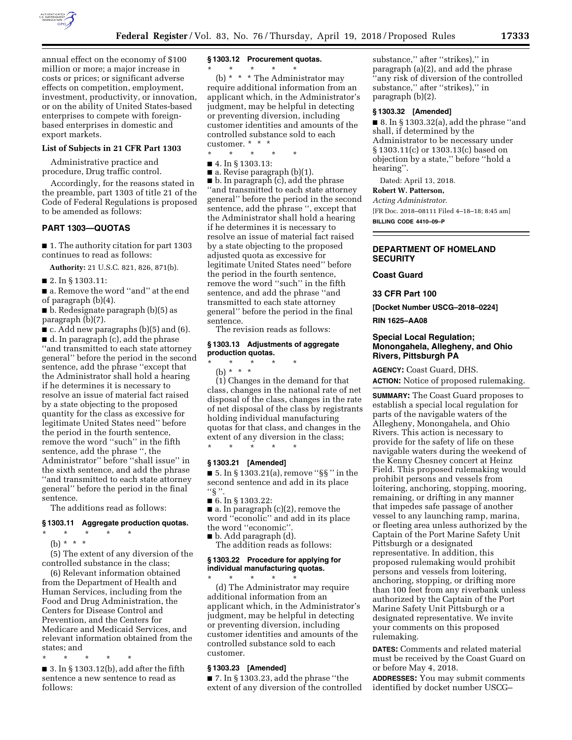

annual effect on the economy of \$100 million or more; a major increase in costs or prices; or significant adverse effects on competition, employment, investment, productivity, or innovation, or on the ability of United States-based enterprises to compete with foreignbased enterprises in domestic and export markets.

#### **List of Subjects in 21 CFR Part 1303**

Administrative practice and procedure, Drug traffic control.

Accordingly, for the reasons stated in the preamble, part 1303 of title 21 of the Code of Federal Regulations is proposed to be amended as follows:

#### **PART 1303—QUOTAS**

■ 1. The authority citation for part 1303 continues to read as follows:

**Authority:** 21 U.S.C. 821, 826, 871(b).

■ 2. In § 1303.11:

■ a. Remove the word "and" at the end of paragraph (b)(4).

■ b. Redesignate paragraph (b)(5) as paragraph (b)(7).

 $\blacksquare$  c. Add new paragraphs (b)(5) and (6).

■ d. In paragraph (c), add the phrase ''and transmitted to each state attorney general'' before the period in the second sentence, add the phrase ''except that the Administrator shall hold a hearing if he determines it is necessary to resolve an issue of material fact raised by a state objecting to the proposed quantity for the class as excessive for legitimate United States need'' before the period in the fourth sentence, remove the word ''such'' in the fifth sentence, add the phrase '', the Administrator'' before ''shall issue'' in the sixth sentence, and add the phrase ''and transmitted to each state attorney general'' before the period in the final sentence.

The additions read as follows:

#### **§ 1303.11 Aggregate production quotas.**

 $\star$   $\star$   $\star$ (b) \* \* \*

(5) The extent of any diversion of the controlled substance in the class;

(6) Relevant information obtained from the Department of Health and Human Services, including from the Food and Drug Administration, the Centers for Disease Control and Prevention, and the Centers for Medicare and Medicaid Services, and relevant information obtained from the states; and

\* \* \* \* \*

 $\blacksquare$  3. In § 1303.12(b), add after the fifth sentence a new sentence to read as follows:

## **§ 1303.12 Procurement quotas.**

\* \* \* \* \* (b) \* \* \* The Administrator may require additional information from an applicant which, in the Administrator's judgment, may be helpful in detecting or preventing diversion, including customer identities and amounts of the controlled substance sold to each customer. \* \* \*

\* \* \* \* \*

■ 4. In § 1303.13:

 $\blacksquare$  a. Revise paragraph (b)(1).

■ b. In paragraph (c), add the phrase ''and transmitted to each state attorney general'' before the period in the second sentence, add the phrase '', except that the Administrator shall hold a hearing if he determines it is necessary to resolve an issue of material fact raised by a state objecting to the proposed adjusted quota as excessive for legitimate United States need'' before the period in the fourth sentence, remove the word ''such'' in the fifth sentence, and add the phrase ''and transmitted to each state attorney general'' before the period in the final sentence.

The revision reads as follows:

#### **§ 1303.13 Adjustments of aggregate production quotas.**

\* \* \* \* \*

(b) \* \* \*

(1) Changes in the demand for that class, changes in the national rate of net disposal of the class, changes in the rate of net disposal of the class by registrants holding individual manufacturing quotas for that class, and changes in the extent of any diversion in the class; \* \* \* \* \*

## **§ 1303.21 [Amended]**

■ 5. In § 1303.21(a), remove ''§§ '' in the second sentence and add in its place  $``\S$  ".

■ 6. In § 1303.22:

■ a. In paragraph (c)(2), remove the word ''econolic'' and add in its place the word ''economic''. ■ b. Add paragraph (d).

The addition reads as follows:

#### **§ 1303.22 Procedure for applying for individual manufacturing quotas.**  \* \* \* \* \*

(d) The Administrator may require additional information from an applicant which, in the Administrator's judgment, may be helpful in detecting or preventing diversion, including customer identities and amounts of the controlled substance sold to each customer.

# **§ 1303.23 [Amended]**

 $\blacksquare$  7. In § 1303.23, add the phrase "the extent of any diversion of the controlled

substance," after "strikes)," in paragraph (a)(2), and add the phrase ''any risk of diversion of the controlled substance,'' after ''strikes),'' in paragraph (b)(2).

### **§ 1303.32 [Amended]**

■ 8. In § 1303.32(a), add the phrase "and shall, if determined by the Administrator to be necessary under § 1303.11(c) or 1303.13(c) based on objection by a state,'' before ''hold a hearing''.

Dated: April 13, 2018.

**Robert W. Patterson,** 

*Acting Administrator.*  [FR Doc. 2018–08111 Filed 4–18–18; 8:45 am]

**BILLING CODE 4410–09–P** 

## **DEPARTMENT OF HOMELAND SECURITY**

**Coast Guard** 

**33 CFR Part 100** 

**[Docket Number USCG–2018–0224]** 

**RIN 1625–AA08** 

## **Special Local Regulation; Monongahela, Allegheny, and Ohio Rivers, Pittsburgh PA**

**AGENCY:** Coast Guard, DHS. **ACTION:** Notice of proposed rulemaking.

**SUMMARY:** The Coast Guard proposes to establish a special local regulation for parts of the navigable waters of the Allegheny, Monongahela, and Ohio Rivers. This action is necessary to provide for the safety of life on these navigable waters during the weekend of the Kenny Chesney concert at Heinz Field. This proposed rulemaking would prohibit persons and vessels from loitering, anchoring, stopping, mooring, remaining, or drifting in any manner that impedes safe passage of another vessel to any launching ramp, marina, or fleeting area unless authorized by the Captain of the Port Marine Safety Unit Pittsburgh or a designated representative. In addition, this proposed rulemaking would prohibit persons and vessels from loitering, anchoring, stopping, or drifting more than 100 feet from any riverbank unless authorized by the Captain of the Port Marine Safety Unit Pittsburgh or a designated representative. We invite your comments on this proposed rulemaking.

**DATES:** Comments and related material must be received by the Coast Guard on or before May 4, 2018.

**ADDRESSES:** You may submit comments identified by docket number USCG–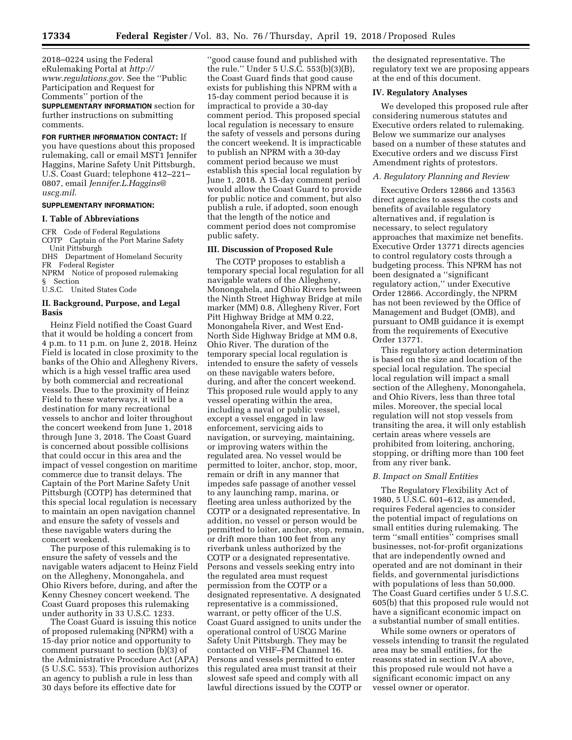2018–0224 using the Federal eRulemaking Portal at *[http://](http://www.regulations.gov) [www.regulations.gov.](http://www.regulations.gov)* See the ''Public Participation and Request for Comments'' portion of the **SUPPLEMENTARY INFORMATION** section for

further instructions on submitting comments.

#### **FOR FURTHER INFORMATION CONTACT:** If

you have questions about this proposed rulemaking, call or email MST1 Jennifer Haggins, Marine Safety Unit Pittsburgh, U.S. Coast Guard; telephone 412–221– 0807, email *[Jennifer.L.Haggins@](mailto:Jennifer.L.Haggins@uscg.mil) [uscg.mil.](mailto:Jennifer.L.Haggins@uscg.mil)* 

# **SUPPLEMENTARY INFORMATION:**

#### **I. Table of Abbreviations**

CFR Code of Federal Regulations COTP Captain of the Port Marine Safety Unit Pittsburgh

DHS Department of Homeland Security

FR Federal Register

NPRM Notice of proposed rulemaking § Section

U.S.C. United States Code

## **II. Background, Purpose, and Legal Basis**

Heinz Field notified the Coast Guard that it would be holding a concert from 4 p.m. to 11 p.m. on June 2, 2018. Heinz Field is located in close proximity to the banks of the Ohio and Allegheny Rivers, which is a high vessel traffic area used by both commercial and recreational vessels. Due to the proximity of Heinz Field to these waterways, it will be a destination for many recreational vessels to anchor and loiter throughout the concert weekend from June 1, 2018 through June 3, 2018. The Coast Guard is concerned about possible collisions that could occur in this area and the impact of vessel congestion on maritime commerce due to transit delays. The Captain of the Port Marine Safety Unit Pittsburgh (COTP) has determined that this special local regulation is necessary to maintain an open navigation channel and ensure the safety of vessels and these navigable waters during the concert weekend.

The purpose of this rulemaking is to ensure the safety of vessels and the navigable waters adjacent to Heinz Field on the Allegheny, Monongahela, and Ohio Rivers before, during, and after the Kenny Chesney concert weekend. The Coast Guard proposes this rulemaking under authority in 33 U.S.C. 1233.

The Coast Guard is issuing this notice of proposed rulemaking (NPRM) with a 15-day prior notice and opportunity to comment pursuant to section (b)(3) of the Administrative Procedure Act (APA) (5 U.S.C. 553). This provision authorizes an agency to publish a rule in less than 30 days before its effective date for

''good cause found and published with the rule.'' Under 5 U.S.C. 553(b)(3)(B), the Coast Guard finds that good cause exists for publishing this NPRM with a 15-day comment period because it is impractical to provide a 30-day comment period. This proposed special local regulation is necessary to ensure the safety of vessels and persons during the concert weekend. It is impracticable to publish an NPRM with a 30-day comment period because we must establish this special local regulation by June 1, 2018. A 15-day comment period would allow the Coast Guard to provide for public notice and comment, but also publish a rule, if adopted, soon enough that the length of the notice and comment period does not compromise public safety.

## **III. Discussion of Proposed Rule**

The COTP proposes to establish a temporary special local regulation for all navigable waters of the Allegheny, Monongahela, and Ohio Rivers between the Ninth Street Highway Bridge at mile marker (MM) 0.8, Allegheny River, Fort Pitt Highway Bridge at MM 0.22, Monongahela River, and West End-North Side Highway Bridge at MM 0.8, Ohio River. The duration of the temporary special local regulation is intended to ensure the safety of vessels on these navigable waters before, during, and after the concert weekend. This proposed rule would apply to any vessel operating within the area, including a naval or public vessel, except a vessel engaged in law enforcement, servicing aids to navigation, or surveying, maintaining, or improving waters within the regulated area. No vessel would be permitted to loiter, anchor, stop, moor, remain or drift in any manner that impedes safe passage of another vessel to any launching ramp, marina, or fleeting area unless authorized by the COTP or a designated representative. In addition, no vessel or person would be permitted to loiter, anchor, stop, remain, or drift more than 100 feet from any riverbank unless authorized by the COTP or a designated representative. Persons and vessels seeking entry into the regulated area must request permission from the COTP or a designated representative. A designated representative is a commissioned, warrant, or petty officer of the U.S. Coast Guard assigned to units under the operational control of USCG Marine Safety Unit Pittsburgh. They may be contacted on VHF–FM Channel 16. Persons and vessels permitted to enter this regulated area must transit at their slowest safe speed and comply with all lawful directions issued by the COTP or

the designated representative. The regulatory text we are proposing appears at the end of this document.

#### **IV. Regulatory Analyses**

We developed this proposed rule after considering numerous statutes and Executive orders related to rulemaking. Below we summarize our analyses based on a number of these statutes and Executive orders and we discuss First Amendment rights of protestors.

#### *A. Regulatory Planning and Review*

Executive Orders 12866 and 13563 direct agencies to assess the costs and benefits of available regulatory alternatives and, if regulation is necessary, to select regulatory approaches that maximize net benefits. Executive Order 13771 directs agencies to control regulatory costs through a budgeting process. This NPRM has not been designated a ''significant regulatory action,'' under Executive Order 12866. Accordingly, the NPRM has not been reviewed by the Office of Management and Budget (OMB), and pursuant to OMB guidance it is exempt from the requirements of Executive Order 13771.

This regulatory action determination is based on the size and location of the special local regulation. The special local regulation will impact a small section of the Allegheny, Monongahela, and Ohio Rivers, less than three total miles. Moreover, the special local regulation will not stop vessels from transiting the area, it will only establish certain areas where vessels are prohibited from loitering, anchoring, stopping, or drifting more than 100 feet from any river bank.

### *B. Impact on Small Entities*

The Regulatory Flexibility Act of 1980, 5 U.S.C. 601–612, as amended, requires Federal agencies to consider the potential impact of regulations on small entities during rulemaking. The term ''small entities'' comprises small businesses, not-for-profit organizations that are independently owned and operated and are not dominant in their fields, and governmental jurisdictions with populations of less than 50,000. The Coast Guard certifies under 5 U.S.C. 605(b) that this proposed rule would not have a significant economic impact on a substantial number of small entities.

While some owners or operators of vessels intending to transit the regulated area may be small entities, for the reasons stated in section IV.A above, this proposed rule would not have a significant economic impact on any vessel owner or operator.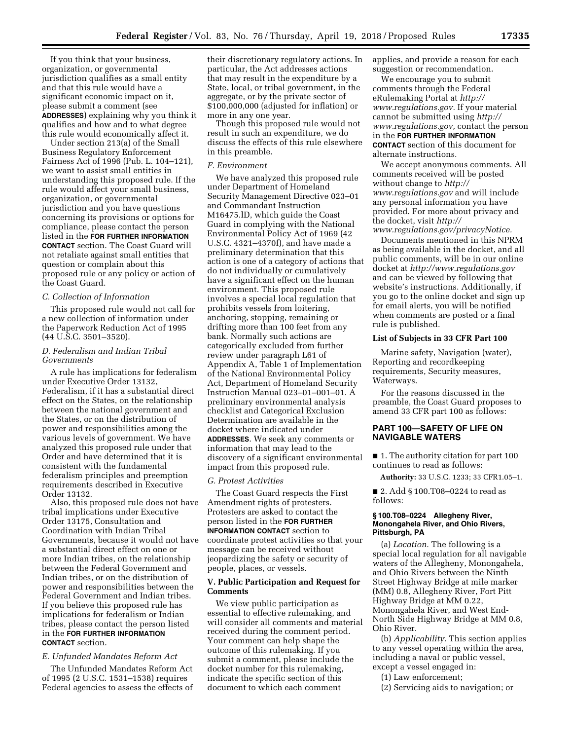If you think that your business, organization, or governmental jurisdiction qualifies as a small entity and that this rule would have a significant economic impact on it, please submit a comment (see **ADDRESSES**) explaining why you think it qualifies and how and to what degree this rule would economically affect it.

Under section 213(a) of the Small Business Regulatory Enforcement Fairness Act of 1996 (Pub. L. 104–121), we want to assist small entities in understanding this proposed rule. If the rule would affect your small business, organization, or governmental jurisdiction and you have questions concerning its provisions or options for compliance, please contact the person listed in the **FOR FURTHER INFORMATION CONTACT** section. The Coast Guard will not retaliate against small entities that question or complain about this proposed rule or any policy or action of the Coast Guard.

### *C. Collection of Information*

This proposed rule would not call for a new collection of information under the Paperwork Reduction Act of 1995 (44 U.S.C. 3501–3520).

## *D. Federalism and Indian Tribal Governments*

A rule has implications for federalism under Executive Order 13132, Federalism, if it has a substantial direct effect on the States, on the relationship between the national government and the States, or on the distribution of power and responsibilities among the various levels of government. We have analyzed this proposed rule under that Order and have determined that it is consistent with the fundamental federalism principles and preemption requirements described in Executive Order 13132.

Also, this proposed rule does not have tribal implications under Executive Order 13175, Consultation and Coordination with Indian Tribal Governments, because it would not have a substantial direct effect on one or more Indian tribes, on the relationship between the Federal Government and Indian tribes, or on the distribution of power and responsibilities between the Federal Government and Indian tribes. If you believe this proposed rule has implications for federalism or Indian tribes, please contact the person listed in the **FOR FURTHER INFORMATION CONTACT** section.

## *E. Unfunded Mandates Reform Act*

The Unfunded Mandates Reform Act of 1995 (2 U.S.C. 1531–1538) requires Federal agencies to assess the effects of their discretionary regulatory actions. In particular, the Act addresses actions that may result in the expenditure by a State, local, or tribal government, in the aggregate, or by the private sector of \$100,000,000 (adjusted for inflation) or more in any one year.

Though this proposed rule would not result in such an expenditure, we do discuss the effects of this rule elsewhere in this preamble.

#### *F. Environment*

We have analyzed this proposed rule under Department of Homeland Security Management Directive 023–01 and Commandant Instruction M16475.lD, which guide the Coast Guard in complying with the National Environmental Policy Act of 1969 (42 U.S.C. 4321–4370f), and have made a preliminary determination that this action is one of a category of actions that do not individually or cumulatively have a significant effect on the human environment. This proposed rule involves a special local regulation that prohibits vessels from loitering, anchoring, stopping, remaining or drifting more than 100 feet from any bank. Normally such actions are categorically excluded from further review under paragraph L61 of Appendix A, Table 1 of Implementation of the National Environmental Policy Act, Department of Homeland Security Instruction Manual 023–01–001–01. A preliminary environmental analysis checklist and Categorical Exclusion Determination are available in the docket where indicated under **ADDRESSES**. We seek any comments or information that may lead to the discovery of a significant environmental impact from this proposed rule.

#### *G. Protest Activities*

The Coast Guard respects the First Amendment rights of protesters. Protesters are asked to contact the person listed in the **FOR FURTHER INFORMATION CONTACT** section to coordinate protest activities so that your message can be received without jeopardizing the safety or security of people, places, or vessels.

## **V. Public Participation and Request for Comments**

We view public participation as essential to effective rulemaking, and will consider all comments and material received during the comment period. Your comment can help shape the outcome of this rulemaking. If you submit a comment, please include the docket number for this rulemaking, indicate the specific section of this document to which each comment

applies, and provide a reason for each suggestion or recommendation.

We encourage you to submit comments through the Federal eRulemaking Portal at *[http://](http://www.regulations.gov) [www.regulations.gov.](http://www.regulations.gov)* If your material cannot be submitted using *[http://](http://www.regulations.gov) [www.regulations.gov,](http://www.regulations.gov)* contact the person in the **FOR FURTHER INFORMATION CONTACT** section of this document for alternate instructions.

We accept anonymous comments. All comments received will be posted without change to *[http://](http://www.regulations.gov) [www.regulations.gov](http://www.regulations.gov)* and will include any personal information you have provided. For more about privacy and the docket, visit *[http://](http://www.regulations.gov/privacyNotice)*

*[www.regulations.gov/privacyNotice.](http://www.regulations.gov/privacyNotice)*  Documents mentioned in this NPRM as being available in the docket, and all public comments, will be in our online docket at *<http://www.regulations.gov>*  and can be viewed by following that website's instructions. Additionally, if you go to the online docket and sign up for email alerts, you will be notified when comments are posted or a final rule is published.

### **List of Subjects in 33 CFR Part 100**

Marine safety, Navigation (water), Reporting and recordkeeping requirements, Security measures, Waterways.

For the reasons discussed in the preamble, the Coast Guard proposes to amend 33 CFR part 100 as follows:

## **PART 100—SAFETY OF LIFE ON NAVIGABLE WATERS**

■ 1. The authority citation for part 100 continues to read as follows:

**Authority:** 33 U.S.C. 1233; 33 CFR1.05–1.

■ 2. Add § 100.T08-0224 to read as follows:

#### **§ 100.T08–0224 Allegheny River, Monongahela River, and Ohio Rivers, Pittsburgh, PA**

(a) *Location.* The following is a special local regulation for all navigable waters of the Allegheny, Monongahela, and Ohio Rivers between the Ninth Street Highway Bridge at mile marker (MM) 0.8, Allegheny River, Fort Pitt Highway Bridge at MM 0.22, Monongahela River, and West End-North Side Highway Bridge at MM 0.8, Ohio River.

(b) *Applicability.* This section applies to any vessel operating within the area, including a naval or public vessel, except a vessel engaged in:

(1) Law enforcement;

(2) Servicing aids to navigation; or